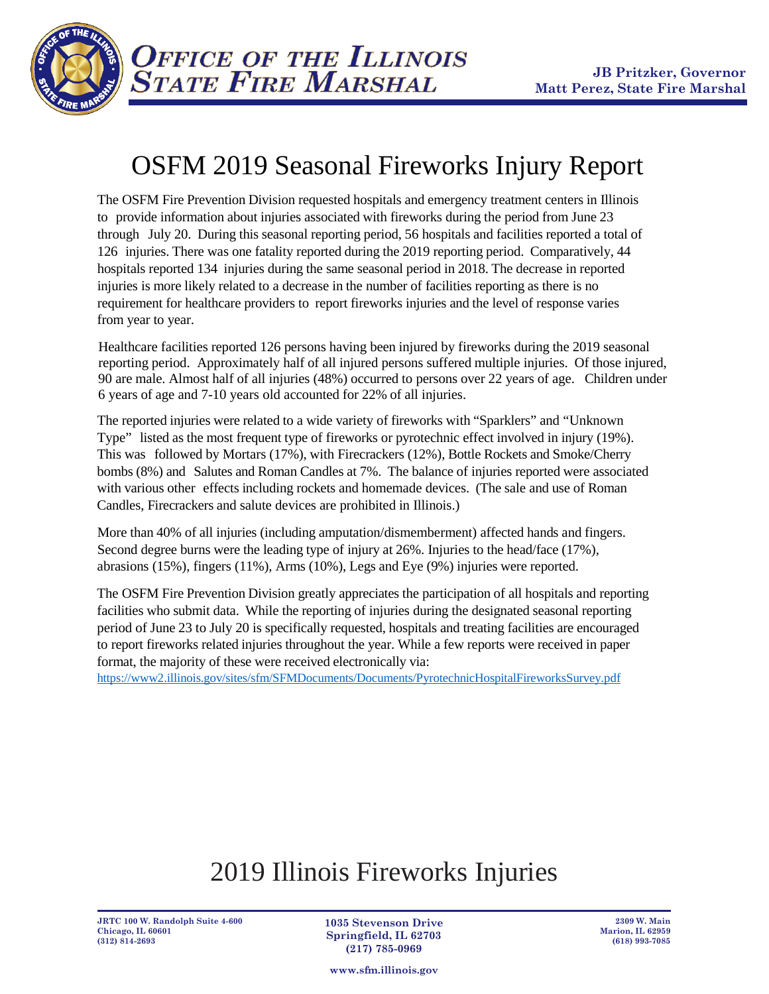

## OSFM 2019 Seasonal Fireworks Injury Report

The OSFM Fire Prevention Division requested hospitals and emergency treatment centers in Illinois to provide information about injuries associated with fireworks during the period from June 23 through July 20. During this seasonal reporting period, 56 hospitals and facilities reported a total of 126 injuries. There was one fatality reported during the 2019 reporting period. Comparatively, 44 hospitals reported 134 injuries during the same seasonal period in 2018. The decrease in reported injuries is more likely related to a decrease in the number of facilities reporting as there is no requirement for healthcare providers to report fireworks injuries and the level of response varies from year to year.

Healthcare facilities reported 126 persons having been injured by fireworks during the 2019 seasonal reporting period. Approximately half of all injured persons suffered multiple injuries. Of those injured, 90 are male. Almost half of all injuries (48%) occurred to persons over 22 years of age. Children under 6 years of age and 7-10 years old accounted for 22% of all injuries.

The reported injuries were related to a wide variety of fireworks with "Sparklers" and "Unknown Type" listed as the most frequent type of fireworks or pyrotechnic effect involved in injury (19%). This was followed by Mortars (17%), with Firecrackers (12%), Bottle Rockets and Smoke/Cherry bombs (8%) and Salutes and Roman Candles at 7%. The balance of injuries reported were associated with various other effects including rockets and homemade devices. (The sale and use of Roman Candles, Firecrackers and salute devices are prohibited in Illinois.)

More than 40% of all injuries (including amputation/dismemberment) affected hands and fingers. Second degree burns were the leading type of injury at 26%. Injuries to the head/face (17%), abrasions (15%), fingers (11%), Arms (10%), Legs and Eye (9%) injuries were reported.

The OSFM Fire Prevention Division greatly appreciates the participation of all hospitals and reporting facilities who submit data. While the reporting of injuries during the designated seasonal reporting period of June 23 to July 20 is specifically requested, hospitals and treating facilities are encouraged to report fireworks related injuries throughout the year. While a few reports were received in paper format, the majority of these were received electronically via:

<https://www2.illinois.gov/sites/sfm/SFMDocuments/Documents/PyrotechnicHospitalFireworksSurvey.pdf>

## 2019 Illinois Fireworks Injuries

**JRTC 100 W. Randolph Suite 4-600 Chicago, IL 60601 (312) 814-2693**

**1035 Stevenson Drive Springfield, IL 62703 (217) 785-0969**

**www.sfm.illinois.gov**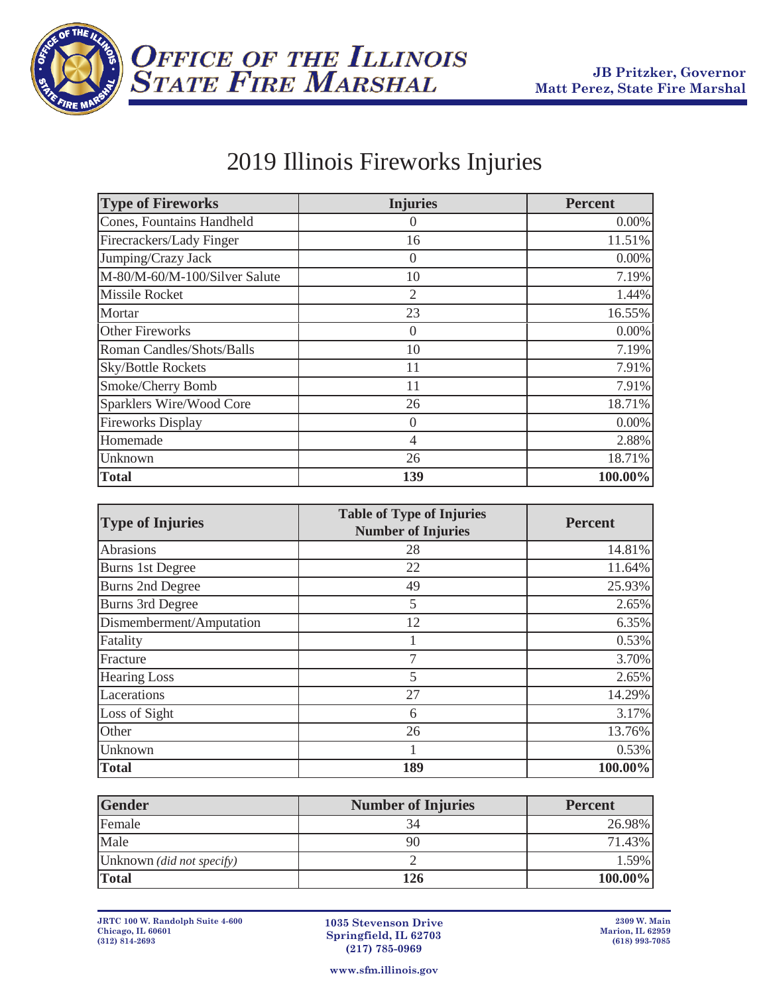



## 2019 Illinois Fireworks Injuries

| <b>Type of Fireworks</b>      | <b>Injuries</b>  | <b>Percent</b> |
|-------------------------------|------------------|----------------|
| Cones, Fountains Handheld     | $\left( \right)$ | $0.00\%$       |
| Firecrackers/Lady Finger      | 16               | 11.51%         |
| Jumping/Crazy Jack            | $\Omega$         | $0.00\%$       |
| M-80/M-60/M-100/Silver Salute | 10               | 7.19%          |
| <b>Missile Rocket</b>         | $\overline{2}$   | 1.44%          |
| Mortar                        | 23               | 16.55%         |
| <b>Other Fireworks</b>        | $\boldsymbol{0}$ | $0.00\%$       |
| Roman Candles/Shots/Balls     | 10               | 7.19%          |
| <b>Sky/Bottle Rockets</b>     | 11               | 7.91%          |
| Smoke/Cherry Bomb             | 11               | 7.91%          |
| Sparklers Wire/Wood Core      | 26               | 18.71%         |
| <b>Fireworks Display</b>      | $\Omega$         | 0.00%          |
| Homemade                      | 4                | 2.88%          |
| Unknown                       | 26               | 18.71%         |
| <b>Total</b>                  | 139              | 100.00%        |

| <b>Type of Injuries</b>  | <b>Table of Type of Injuries</b><br><b>Number of Injuries</b> | <b>Percent</b> |
|--------------------------|---------------------------------------------------------------|----------------|
| Abrasions                | 28                                                            | 14.81%         |
| <b>Burns 1st Degree</b>  | 22                                                            | 11.64%         |
| <b>Burns 2nd Degree</b>  | 49                                                            | 25.93%         |
| <b>Burns 3rd Degree</b>  | 5                                                             | 2.65%          |
| Dismemberment/Amputation | 12                                                            | 6.35%          |
| Fatality                 |                                                               | 0.53%          |
| Fracture                 | 7                                                             | 3.70%          |
| <b>Hearing Loss</b>      | 5                                                             | 2.65%          |
| Lacerations              | 27                                                            | 14.29%         |
| Loss of Sight            | 6                                                             | 3.17%          |
| Other                    | 26                                                            | 13.76%         |
| Unknown                  |                                                               | 0.53%          |
| <b>Total</b>             | 189                                                           | 100.00%        |

| <b>Gender</b>                    | <b>Number of Injuries</b> | <b>Percent</b> |
|----------------------------------|---------------------------|----------------|
| Female                           | 34                        | 26.98%         |
| Male                             | 90                        | 71.43%         |
| Unknown <i>(did not specify)</i> |                           | 1.59%          |
| <b>Total</b>                     | 126                       | $100.00\%$     |

**1035 Stevenson Drive Springfield, IL 62703 (217) 785-0969**

**www.sfm.illinois.gov**